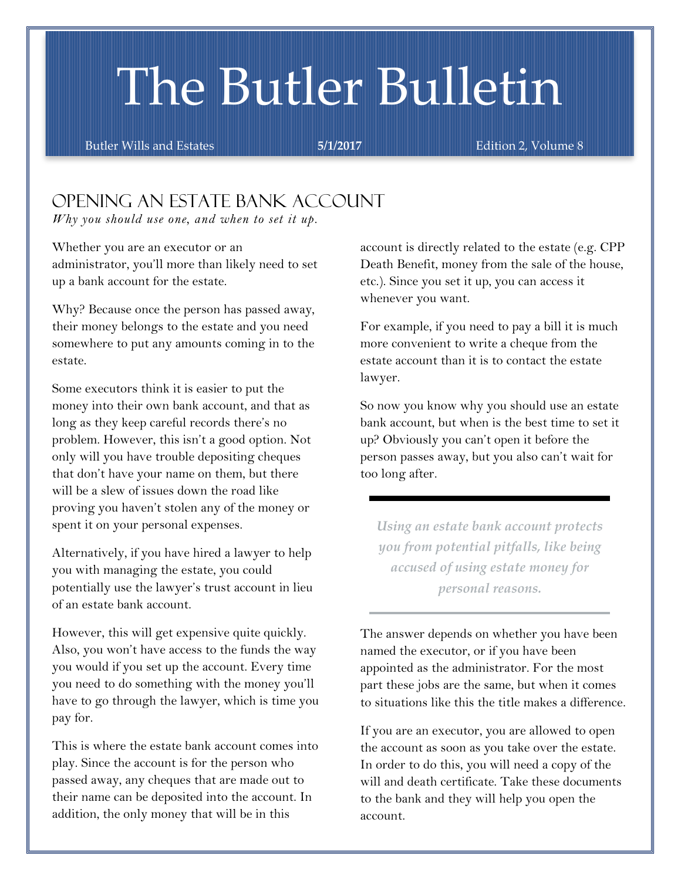# The Butler Bulletin

Butler Wills and Estates **5/1/2017 Edition 2, Volume 8** 

## Opening an Estate Bank Account

*Why you should use one, and when to set it up.*

Whether you are an executor or an administrator, you'll more than likely need to set up a bank account for the estate.

Why? Because once the person has passed away, their money belongs to the estate and you need somewhere to put any amounts coming in to the estate.

Some executors think it is easier to put the money into their own bank account, and that as long as they keep careful records there's no problem. However, this isn't a good option. Not only will you have trouble depositing cheques that don't have your name on them, but there will be a slew of issues down the road like proving you haven't stolen any of the money or spent it on your personal expenses.

Alternatively, if you have hired a lawyer to help you with managing the estate, you could potentially use the lawyer's trust account in lieu of an estate bank account.

However, this will get expensive quite quickly. Also, you won't have access to the funds the way you would if you set up the account. Every time you need to do something with the money you'll have to go through the lawyer, which is time you pay for.

This is where the estate bank account comes into play. Since the account is for the person who passed away, any cheques that are made out to their name can be deposited into the account. In addition, the only money that will be in this

account is directly related to the estate (e.g. CPP Death Benefit, money from the sale of the house, etc.). Since you set it up, you can access it whenever you want.

For example, if you need to pay a bill it is much more convenient to write a cheque from the estate account than it is to contact the estate lawyer.

So now you know why you should use an estate bank account, but when is the best time to set it up? Obviously you can't open it before the person passes away, but you also can't wait for too long after.

*Using an estate bank account protects you from potential pitfalls, like being accused of using estate money for personal reasons.*

The answer depends on whether you have been named the executor, or if you have been appointed as the administrator. For the most part these jobs are the same, but when it comes to situations like this the title makes a difference.

If you are an executor, you are allowed to open the account as soon as you take over the estate. In order to do this, you will need a copy of the will and death certificate. Take these documents to the bank and they will help you open the account.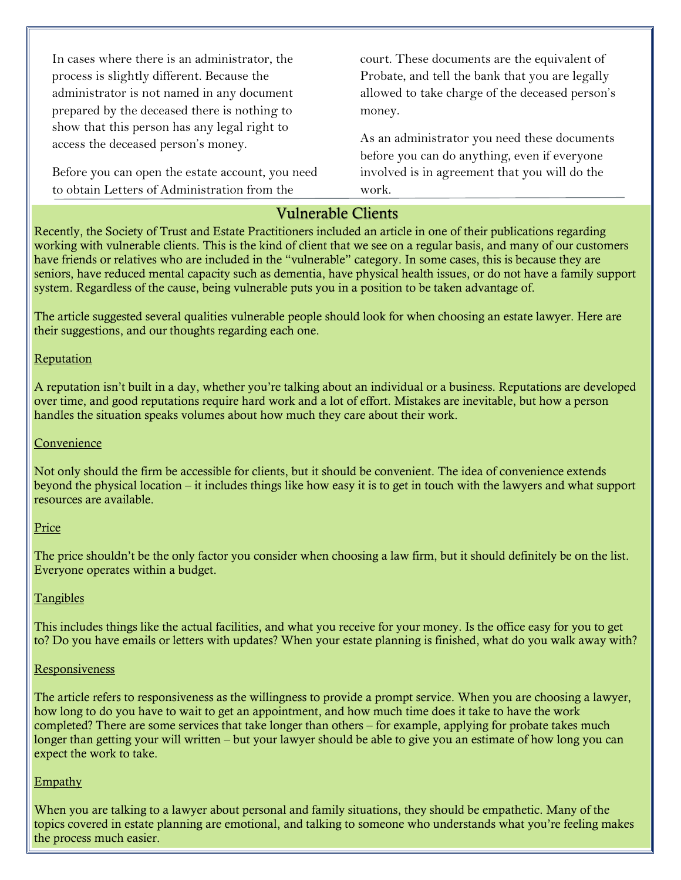In cases where there is an administrator, the process is slightly different. Because the administrator is not named in any document prepared by the deceased there is nothing to show that this person has any legal right to access the deceased person's money.

Before you can open the estate account, you need to obtain Letters of Administration from the

court. These documents are the equivalent of Probate, and tell the bank that you are legally allowed to take charge of the deceased person's money.

As an administrator you need these documents before you can do anything, even if everyone involved is in agreement that you will do the work.

## Vulnerable Clients

Recently, the Society of Trust and Estate Practitioners included an article in one of their publications regarding working with vulnerable clients. This is the kind of client that we see on a regular basis, and many of our customers have friends or relatives who are included in the "vulnerable" category. In some cases, this is because they are seniors, have reduced mental capacity such as dementia, have physical health issues, or do not have a family support system. Regardless of the cause, being vulnerable puts you in a position to be taken advantage of.

The article suggested several qualities vulnerable people should look for when choosing an estate lawyer. Here are their suggestions, and our thoughts regarding each one.

#### **Reputation**

A reputation isn't built in a day, whether you're talking about an individual or a business. Reputations are developed over time, and good reputations require hard work and a lot of effort. Mistakes are inevitable, but how a person handles the situation speaks volumes about how much they care about their work.

#### **Convenience**

Not only should the firm be accessible for clients, but it should be convenient. The idea of convenience extends beyond the physical location – it includes things like how easy it is to get in touch with the lawyers and what support resources are available.

#### Price

The price shouldn't be the only factor you consider when choosing a law firm, but it should definitely be on the list. Everyone operates within a budget.

#### Tangibles

This includes things like the actual facilities, and what you receive for your money. Is the office easy for you to get to? Do you have emails or letters with updates? When your estate planning is finished, what do you walk away with?

#### Responsiveness

The article refers to responsiveness as the willingness to provide a prompt service. When you are choosing a lawyer, how long to do you have to wait to get an appointment, and how much time does it take to have the work completed? There are some services that take longer than others – for example, applying for probate takes much longer than getting your will written – but your lawyer should be able to give you an estimate of how long you can expect the work to take.

#### **Empathy**

When you are talking to a lawyer about personal and family situations, they should be empathetic. Many of the topics covered in estate planning are emotional, and talking to someone who understands what you're feeling makes the process much easier.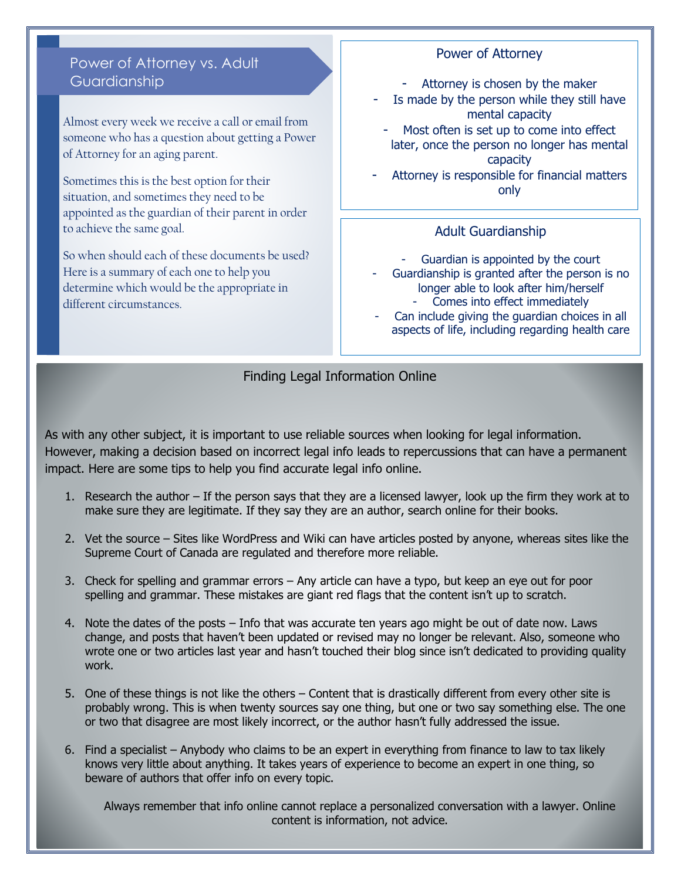## Power of Attorney vs. Adult Guardianship

Almost every week we receive a call or email from someone who has a question about getting a Power of Attorney for an aging parent.

Sometimes this is the best option for their situation, and sometimes they need to be appointed as the guardian of their parent in order to achieve the same goal.

So when should each of these documents be used? Here is a summary of each one to help you determine which would be the appropriate in different circumstances.

## Power of Attorney

- Attorney is chosen by the maker
- Is made by the person while they still have mental capacity
- Most often is set up to come into effect later, once the person no longer has mental capacity

Attorney is responsible for financial matters only

### Adult Guardianship

- Guardian is appointed by the court - Guardianship is granted after the person is no longer able to look after him/herself - Comes into effect immediately
- Can include giving the guardian choices in all aspects of life, including regarding health care

Finding Legal Information Online

As with any other subject, it is important to use reliable sources when looking for legal information. However, making a decision based on incorrect legal info leads to repercussions that can have a permanent impact. Here are some tips to help you find accurate legal info online.

- 1. Research the author If the person says that they are a licensed lawyer, look up the firm they work at to make sure they are legitimate. If they say they are an author, search online for their books.
- 2. Vet the source Sites like WordPress and Wiki can have articles posted by anyone, whereas sites like the Supreme Court of Canada are regulated and therefore more reliable.
- 3. Check for spelling and grammar errors Any article can have a typo, but keep an eye out for poor spelling and grammar. These mistakes are giant red flags that the content isn't up to scratch.
- 4. Note the dates of the posts Info that was accurate ten years ago might be out of date now. Laws change, and posts that haven't been updated or revised may no longer be relevant. Also, someone who wrote one or two articles last year and hasn't touched their blog since isn't dedicated to providing quality work.
- 5. One of these things is not like the others Content that is drastically different from every other site is probably wrong. This is when twenty sources say one thing, but one or two say something else. The one or two that disagree are most likely incorrect, or the author hasn't fully addressed the issue.
- 6. Find a specialist Anybody who claims to be an expert in everything from finance to law to tax likely knows very little about anything. It takes years of experience to become an expert in one thing, so beware of authors that offer info on every topic.

Always remember that info online cannot replace a personalized conversation with a lawyer. Online content is information, not advice.